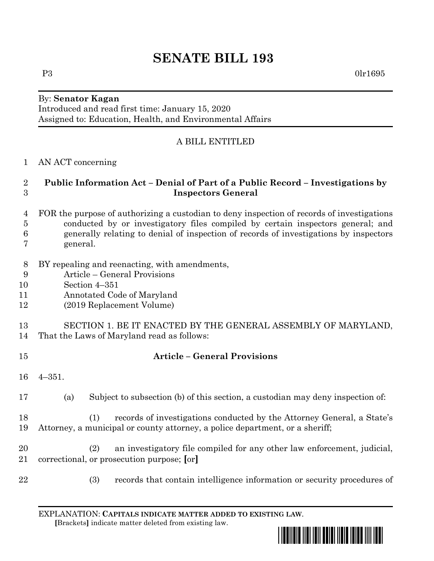# **SENATE BILL 193**

#### By: **Senator Kagan** Introduced and read first time: January 15, 2020

Assigned to: Education, Health, and Environmental Affairs

## A BILL ENTITLED

#### AN ACT concerning

#### **Public Information Act – Denial of Part of a Public Record – Investigations by Inspectors General**

- FOR the purpose of authorizing a custodian to deny inspection of records of investigations conducted by or investigatory files compiled by certain inspectors general; and generally relating to denial of inspection of records of investigations by inspectors general.
- BY repealing and reenacting, with amendments,
- Article General Provisions
- Section 4–351
- Annotated Code of Maryland
- (2019 Replacement Volume)
- SECTION 1. BE IT ENACTED BY THE GENERAL ASSEMBLY OF MARYLAND, That the Laws of Maryland read as follows:
- 

### **Article – General Provisions**

- 4–351.
- (a) Subject to subsection (b) of this section, a custodian may deny inspection of:
- (1) records of investigations conducted by the Attorney General, a State's Attorney, a municipal or county attorney, a police department, or a sheriff;
- (2) an investigatory file compiled for any other law enforcement, judicial, correctional, or prosecution purpose; **[**or**]**
- 
- (3) records that contain intelligence information or security procedures of

EXPLANATION: **CAPITALS INDICATE MATTER ADDED TO EXISTING LAW**.  **[**Brackets**]** indicate matter deleted from existing law.